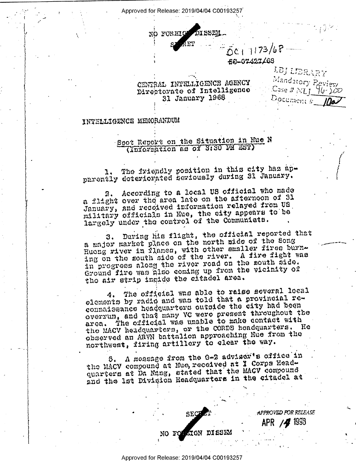Approved for Release: 2019/04/04 C00193257



56-07427/68

APPROVED FOR RELEASE

APR /4 1998

LEJ LIBRARY Mandatory Peview Case # MI 96-200 Document #

## CENTRAL INTELLIGENCE AGENCY Directorate of Intelligence 31 January 1968

## INTELLIGENCE MEMORANDUM

Spot Report on the Situation in Hue N (Information as of 3:30 PM EST)

The friendly position in this city has apparently deteriorated seriously during 31 January.

2. According to a local US official who made a flight over the area late on the afternoon of 31 January, and recolved information relayed from US military officials in Hue, the oity appears to be largely under the control of the Communista.

During his flight, the official reported that з. a major market place on the north side of the Song Hueng river in Plames, with other smaller fires burning on the south side of the river. A fire fight was in progress along the river road on the mouth side. Ground five was also coming up from the vicinity of tho air strip ingide the cliadel area.

The official was able to raise several local 4. elements by radio and was told that a provincial reconnaissance headquarters outside the city had been overrun, and that many VC were present throughout the the official wha unable to make contact with arca. the MACV headquarters, or the CORDB headquarters. He observed an ARVN battalion approaching Hue from the northwest, firing artillery to clear the way.

A message from the G-2 adviser's office in 3. the MACV compound at Hue, received at I Corps Headquarters at Da Nang, stated that the MACV compound and the let Division Headquarters in the citadel at

SEC

NO FOUNDATION DISSEM

Approved for Release: 2019/04/04 C00193257